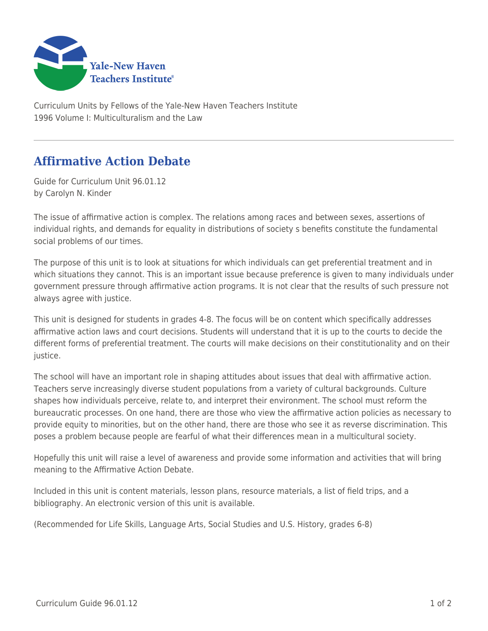

Curriculum Units by Fellows of the Yale-New Haven Teachers Institute 1996 Volume I: Multiculturalism and the Law

## **Affirmative Action Debate**

Guide for Curriculum Unit 96.01.12 by Carolyn N. Kinder

The issue of affirmative action is complex. The relations among races and between sexes, assertions of individual rights, and demands for equality in distributions of society s benefits constitute the fundamental social problems of our times.

The purpose of this unit is to look at situations for which individuals can get preferential treatment and in which situations they cannot. This is an important issue because preference is given to many individuals under government pressure through affirmative action programs. It is not clear that the results of such pressure not always agree with justice.

This unit is designed for students in grades 4-8. The focus will be on content which specifically addresses affirmative action laws and court decisions. Students will understand that it is up to the courts to decide the different forms of preferential treatment. The courts will make decisions on their constitutionality and on their justice.

The school will have an important role in shaping attitudes about issues that deal with affirmative action. Teachers serve increasingly diverse student populations from a variety of cultural backgrounds. Culture shapes how individuals perceive, relate to, and interpret their environment. The school must reform the bureaucratic processes. On one hand, there are those who view the affirmative action policies as necessary to provide equity to minorities, but on the other hand, there are those who see it as reverse discrimination. This poses a problem because people are fearful of what their differences mean in a multicultural society.

Hopefully this unit will raise a level of awareness and provide some information and activities that will bring meaning to the Affirmative Action Debate.

Included in this unit is content materials, lesson plans, resource materials, a list of field trips, and a bibliography. An electronic version of this unit is available.

(Recommended for Life Skills, Language Arts, Social Studies and U.S. History, grades 6-8)